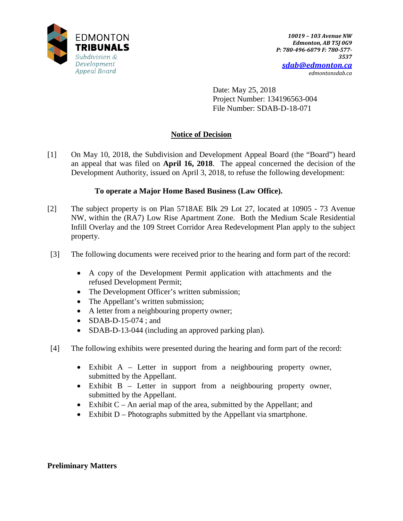

Date: May 25, 2018 Project Number: 134196563-004 File Number: SDAB-D-18-071

# **Notice of Decision**

[1] On May 10, 2018, the Subdivision and Development Appeal Board (the "Board") heard an appeal that was filed on **April 16, 2018**. The appeal concerned the decision of the Development Authority, issued on April 3, 2018, to refuse the following development:

# **To operate a Major Home Based Business (Law Office).**

- [2] The subject property is on Plan 5718AE Blk 29 Lot 27, located at 10905 73 Avenue NW, within the (RA7) Low Rise Apartment Zone. Both the Medium Scale Residential Infill Overlay and the 109 Street Corridor Area Redevelopment Plan apply to the subject property.
- [3] The following documents were received prior to the hearing and form part of the record:
	- A copy of the Development Permit application with attachments and the refused Development Permit;
	- The Development Officer's written submission;
	- The Appellant's written submission;
	- A letter from a neighbouring property owner;
	- SDAB-D-15-074 ; and
	- SDAB-D-13-044 (including an approved parking plan).
- [4] The following exhibits were presented during the hearing and form part of the record:
	- Exhibit A Letter in support from a neighbouring property owner, submitted by the Appellant.
	- Exhibit B Letter in support from a neighbouring property owner, submitted by the Appellant.
	- Exhibit  $C An$  aerial map of the area, submitted by the Appellant; and
	- Exhibit D Photographs submitted by the Appellant via smartphone.

## **Preliminary Matters**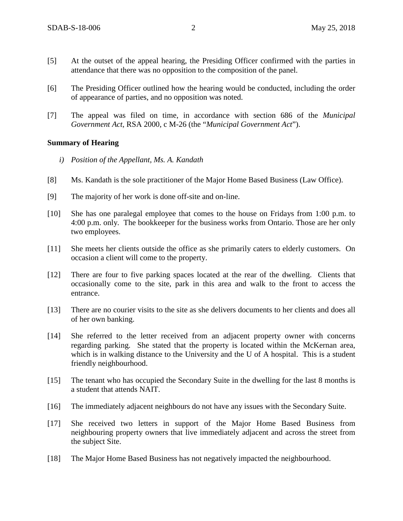- [5] At the outset of the appeal hearing, the Presiding Officer confirmed with the parties in attendance that there was no opposition to the composition of the panel.
- [6] The Presiding Officer outlined how the hearing would be conducted, including the order of appearance of parties, and no opposition was noted.
- [7] The appeal was filed on time, in accordance with section 686 of the *Municipal Government Act*, RSA 2000, c M-26 (the "*Municipal Government Act*").

#### **Summary of Hearing**

- *i) Position of the Appellant, Ms. A. Kandath*
- [8] Ms. Kandath is the sole practitioner of the Major Home Based Business (Law Office).
- [9] The majority of her work is done off-site and on-line.
- [10] She has one paralegal employee that comes to the house on Fridays from 1:00 p.m. to 4:00 p.m. only. The bookkeeper for the business works from Ontario. Those are her only two employees.
- [11] She meets her clients outside the office as she primarily caters to elderly customers. On occasion a client will come to the property.
- [12] There are four to five parking spaces located at the rear of the dwelling. Clients that occasionally come to the site, park in this area and walk to the front to access the entrance.
- [13] There are no courier visits to the site as she delivers documents to her clients and does all of her own banking.
- [14] She referred to the letter received from an adjacent property owner with concerns regarding parking. She stated that the property is located within the McKernan area, which is in walking distance to the University and the U of A hospital. This is a student friendly neighbourhood.
- [15] The tenant who has occupied the Secondary Suite in the dwelling for the last 8 months is a student that attends NAIT.
- [16] The immediately adjacent neighbours do not have any issues with the Secondary Suite.
- [17] She received two letters in support of the Major Home Based Business from neighbouring property owners that live immediately adjacent and across the street from the subject Site.
- [18] The Major Home Based Business has not negatively impacted the neighbourhood.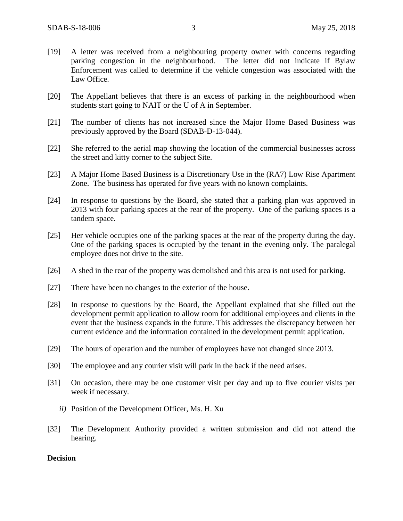- [19] A letter was received from a neighbouring property owner with concerns regarding parking congestion in the neighbourhood. The letter did not indicate if Bylaw Enforcement was called to determine if the vehicle congestion was associated with the Law Office.
- [20] The Appellant believes that there is an excess of parking in the neighbourhood when students start going to NAIT or the U of A in September.
- [21] The number of clients has not increased since the Major Home Based Business was previously approved by the Board (SDAB-D-13-044).
- [22] She referred to the aerial map showing the location of the commercial businesses across the street and kitty corner to the subject Site.
- [23] A Major Home Based Business is a Discretionary Use in the (RA7) Low Rise Apartment Zone. The business has operated for five years with no known complaints.
- [24] In response to questions by the Board, she stated that a parking plan was approved in 2013 with four parking spaces at the rear of the property. One of the parking spaces is a tandem space.
- [25] Her vehicle occupies one of the parking spaces at the rear of the property during the day. One of the parking spaces is occupied by the tenant in the evening only. The paralegal employee does not drive to the site.
- [26] A shed in the rear of the property was demolished and this area is not used for parking.
- [27] There have been no changes to the exterior of the house.
- [28] In response to questions by the Board, the Appellant explained that she filled out the development permit application to allow room for additional employees and clients in the event that the business expands in the future. This addresses the discrepancy between her current evidence and the information contained in the development permit application.
- [29] The hours of operation and the number of employees have not changed since 2013.
- [30] The employee and any courier visit will park in the back if the need arises.
- [31] On occasion, there may be one customer visit per day and up to five courier visits per week if necessary.
	- *ii)* Position of the Development Officer, Ms. H. Xu
- [32] The Development Authority provided a written submission and did not attend the hearing.

#### **Decision**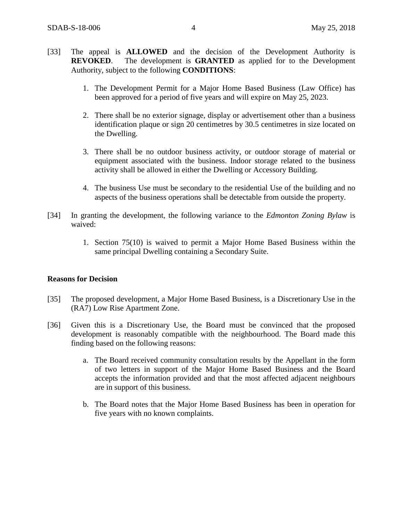- [33] The appeal is **ALLOWED** and the decision of the Development Authority is **REVOKED**. The development is **GRANTED** as applied for to the Development Authority, subject to the following **CONDITIONS**:
	- 1. The Development Permit for a Major Home Based Business (Law Office) has been approved for a period of five years and will expire on May 25, 2023.
	- 2. There shall be no exterior signage, display or advertisement other than a business identification plaque or sign 20 centimetres by 30.5 centimetres in size located on the Dwelling.
	- 3. There shall be no outdoor business activity, or outdoor storage of material or equipment associated with the business. Indoor storage related to the business activity shall be allowed in either the Dwelling or Accessory Building.
	- 4. The business Use must be secondary to the residential Use of the building and no aspects of the business operations shall be detectable from outside the property.
- [34] In granting the development, the following variance to the *Edmonton Zoning Bylaw* is waived:
	- 1. Section 75(10) is waived to permit a Major Home Based Business within the same principal Dwelling containing a Secondary Suite.

### **Reasons for Decision**

- [35] The proposed development, a Major Home Based Business, is a Discretionary Use in the (RA7) Low Rise Apartment Zone.
- [36] Given this is a Discretionary Use, the Board must be convinced that the proposed development is reasonably compatible with the neighbourhood. The Board made this finding based on the following reasons:
	- a. The Board received community consultation results by the Appellant in the form of two letters in support of the Major Home Based Business and the Board accepts the information provided and that the most affected adjacent neighbours are in support of this business.
	- b. The Board notes that the Major Home Based Business has been in operation for five years with no known complaints.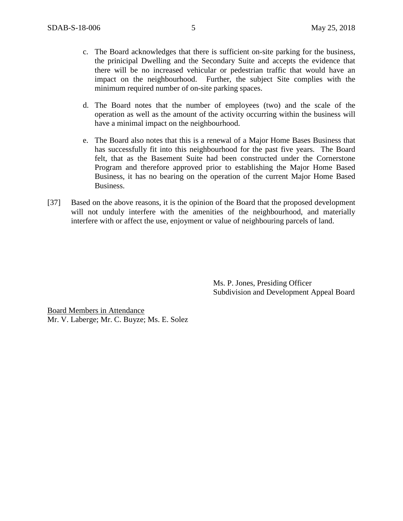- c. The Board acknowledges that there is sufficient on-site parking for the business, the prinicipal Dwelling and the Secondary Suite and accepts the evidence that there will be no increased vehicular or pedestrian traffic that would have an impact on the neighbourhood. Further, the subject Site complies with the minimum required number of on-site parking spaces.
- d. The Board notes that the number of employees (two) and the scale of the operation as well as the amount of the activity occurring within the business will have a minimal impact on the neighbourhood.
- e. The Board also notes that this is a renewal of a Major Home Bases Business that has successfully fit into this neighbourhood for the past five years. The Board felt, that as the Basement Suite had been constructed under the Cornerstone Program and therefore approved prior to establishing the Major Home Based Business, it has no bearing on the operation of the current Major Home Based Business.
- [37] Based on the above reasons, it is the opinion of the Board that the proposed development will not unduly interfere with the amenities of the neighbourhood, and materially interfere with or affect the use, enjoyment or value of neighbouring parcels of land.

Ms. P. Jones, Presiding Officer Subdivision and Development Appeal Board

Board Members in Attendance Mr. V. Laberge; Mr. C. Buyze; Ms. E. Solez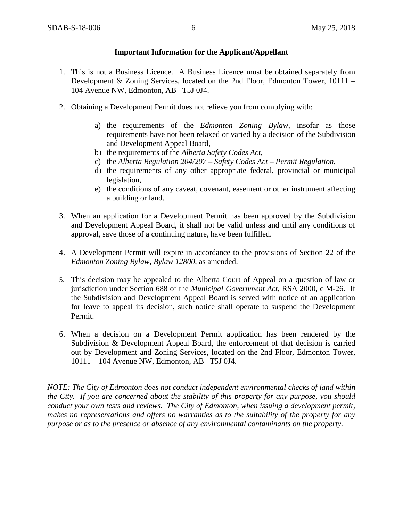### **Important Information for the Applicant/Appellant**

- 1. This is not a Business Licence. A Business Licence must be obtained separately from Development & Zoning Services, located on the 2nd Floor, Edmonton Tower, 10111 – 104 Avenue NW, Edmonton, AB T5J 0J4.
- 2. Obtaining a Development Permit does not relieve you from complying with:
	- a) the requirements of the *Edmonton Zoning Bylaw*, insofar as those requirements have not been relaxed or varied by a decision of the Subdivision and Development Appeal Board,
	- b) the requirements of the *Alberta Safety Codes Act*,
	- c) the *Alberta Regulation 204/207 – Safety Codes Act – Permit Regulation*,
	- d) the requirements of any other appropriate federal, provincial or municipal legislation,
	- e) the conditions of any caveat, covenant, easement or other instrument affecting a building or land.
- 3. When an application for a Development Permit has been approved by the Subdivision and Development Appeal Board, it shall not be valid unless and until any conditions of approval, save those of a continuing nature, have been fulfilled.
- 4. A Development Permit will expire in accordance to the provisions of Section 22 of the *Edmonton Zoning Bylaw, Bylaw 12800*, as amended.
- 5. This decision may be appealed to the Alberta Court of Appeal on a question of law or jurisdiction under Section 688 of the *Municipal Government Act*, RSA 2000, c M-26. If the Subdivision and Development Appeal Board is served with notice of an application for leave to appeal its decision, such notice shall operate to suspend the Development Permit.
- 6. When a decision on a Development Permit application has been rendered by the Subdivision & Development Appeal Board, the enforcement of that decision is carried out by Development and Zoning Services, located on the 2nd Floor, Edmonton Tower, 10111 – 104 Avenue NW, Edmonton, AB T5J 0J4.

*NOTE: The City of Edmonton does not conduct independent environmental checks of land within the City. If you are concerned about the stability of this property for any purpose, you should conduct your own tests and reviews. The City of Edmonton, when issuing a development permit, makes no representations and offers no warranties as to the suitability of the property for any purpose or as to the presence or absence of any environmental contaminants on the property.*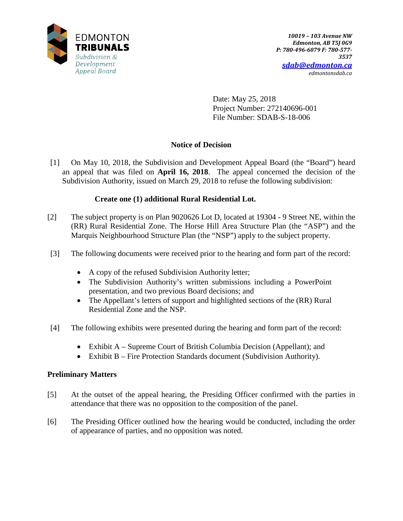

Date: May 25, 2018 Project Number: 272140696-001 File Number: SDAB-S-18-006

# **Notice of Decision**

[1] On May 10, 2018, the Subdivision and Development Appeal Board (the "Board") heard an appeal that was filed on **April 16, 2018**. The appeal concerned the decision of the Subdivision Authority, issued on March 29, 2018 to refuse the following subdivision:

# **Create one (1) additional Rural Residential Lot.**

- [2] The subject property is on Plan 9020626 Lot D, located at 19304 9 Street NE, within the (RR) Rural Residential Zone. The Horse Hill Area Structure Plan (the "ASP") and the Marquis Neighbourhood Structure Plan (the "NSP") apply to the subject property.
- [3] The following documents were received prior to the hearing and form part of the record:
	- A copy of the refused Subdivision Authority letter;
	- The Subdivision Authority's written submissions including a PowerPoint presentation, and two previous Board decisions; and
	- The Appellant's letters of support and highlighted sections of the (RR) Rural Residential Zone and the NSP.
- [4] The following exhibits were presented during the hearing and form part of the record:
	- Exhibit A Supreme Court of British Columbia Decision (Appellant); and
	- Exhibit B Fire Protection Standards document (Subdivision Authority).

# **Preliminary Matters**

- [5] At the outset of the appeal hearing, the Presiding Officer confirmed with the parties in attendance that there was no opposition to the composition of the panel.
- [6] The Presiding Officer outlined how the hearing would be conducted, including the order of appearance of parties, and no opposition was noted.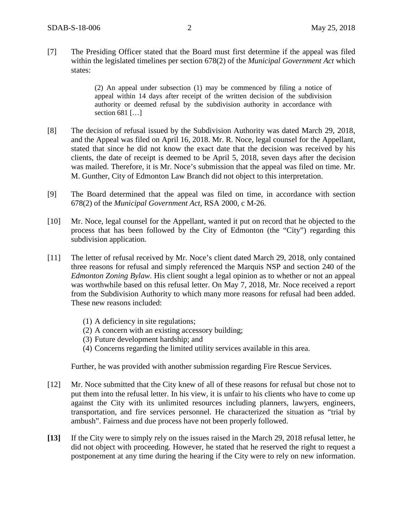[7] The Presiding Officer stated that the Board must first determine if the appeal was filed within the legislated timelines per section 678(2) of the *Municipal Government Act* which states:

> (2) An appeal under subsection (1) may be commenced by filing a notice of appeal within 14 days after receipt of the written decision of the subdivision authority or deemed refusal by the subdivision authority in accordance with section 681 [...]

- [8] The decision of refusal issued by the Subdivision Authority was dated March 29, 2018, and the Appeal was filed on April 16, 2018. Mr. R. Noce, legal counsel for the Appellant, stated that since he did not know the exact date that the decision was received by his clients, the date of receipt is deemed to be April 5, 2018, seven days after the decision was mailed. Therefore, it is Mr. Noce's submission that the appeal was filed on time. Mr. M. Gunther, City of Edmonton Law Branch did not object to this interpretation.
- [9] The Board determined that the appeal was filed on time, in accordance with section 678(2) of the *Municipal Government Act*, RSA 2000, c M-26.
- [10] Mr. Noce, legal counsel for the Appellant, wanted it put on record that he objected to the process that has been followed by the City of Edmonton (the "City") regarding this subdivision application.
- [11] The letter of refusal received by Mr. Noce's client dated March 29, 2018, only contained three reasons for refusal and simply referenced the Marquis NSP and section 240 of the *Edmonton Zoning Bylaw.* His client sought a legal opinion as to whether or not an appeal was worthwhile based on this refusal letter. On May 7, 2018, Mr. Noce received a report from the Subdivision Authority to which many more reasons for refusal had been added. These new reasons included:
	- (1) A deficiency in site regulations;
	- (2) A concern with an existing accessory building;
	- (3) Future development hardship; and
	- (4) Concerns regarding the limited utility services available in this area.

Further, he was provided with another submission regarding Fire Rescue Services.

- [12] Mr. Noce submitted that the City knew of all of these reasons for refusal but chose not to put them into the refusal letter. In his view, it is unfair to his clients who have to come up against the City with its unlimited resources including planners, lawyers, engineers, transportation, and fire services personnel. He characterized the situation as "trial by ambush". Fairness and due process have not been properly followed.
- **[13]** If the City were to simply rely on the issues raised in the March 29, 2018 refusal letter, he did not object with proceeding. However, he stated that he reserved the right to request a postponement at any time during the hearing if the City were to rely on new information.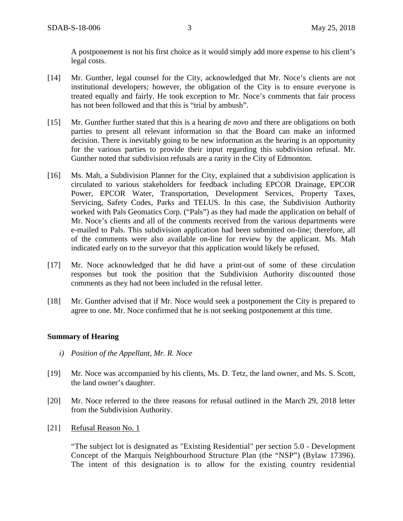A postponement is not his first choice as it would simply add more expense to his client's legal costs.

- [14] Mr. Gunther, legal counsel for the City, acknowledged that Mr. Noce's clients are not institutional developers; however, the obligation of the City is to ensure everyone is treated equally and fairly. He took exception to Mr. Noce's comments that fair process has not been followed and that this is "trial by ambush".
- [15] Mr. Gunther further stated that this is a hearing *de novo* and there are obligations on both parties to present all relevant information so that the Board can make an informed decision. There is inevitably going to be new information as the hearing is an opportunity for the various parties to provide their input regarding this subdivision refusal. Mr. Gunther noted that subdivision refusals are a rarity in the City of Edmonton.
- [16] Ms. Mah, a Subdivision Planner for the City, explained that a subdivision application is circulated to various stakeholders for feedback including EPCOR Drainage, EPCOR Power, EPCOR Water, Transportation, Development Services, Property Taxes, Servicing, Safety Codes, Parks and TELUS. In this case, the Subdivision Authority worked with Pals Geomatics Corp. ("Pals") as they had made the application on behalf of Mr. Noce's clients and all of the comments received from the various departments were e-mailed to Pals. This subdivision application had been submitted on-line; therefore, all of the comments were also available on-line for review by the applicant. Ms. Mah indicated early on to the surveyor that this application would likely be refused.
- [17] Mr. Noce acknowledged that he did have a print-out of some of these circulation responses but took the position that the Subdivision Authority discounted those comments as they had not been included in the refusal letter.
- [18] Mr. Gunther advised that if Mr. Noce would seek a postponement the City is prepared to agree to one. Mr. Noce confirmed that he is not seeking postponement at this time.

## **Summary of Hearing**

- *i) Position of the Appellant, Mr. R. Noce*
- [19] Mr. Noce was accompanied by his clients, Ms. D. Tetz, the land owner, and Ms. S. Scott, the land owner's daughter.
- [20] Mr. Noce referred to the three reasons for refusal outlined in the March 29, 2018 letter from the Subdivision Authority.
- [21] Refusal Reason No. 1

"The subject lot is designated as "Existing Residential" per section 5.0 - Development Concept of the Marquis Neighbourhood Structure Plan (the "NSP") (Bylaw 17396). The intent of this designation is to allow for the existing country residential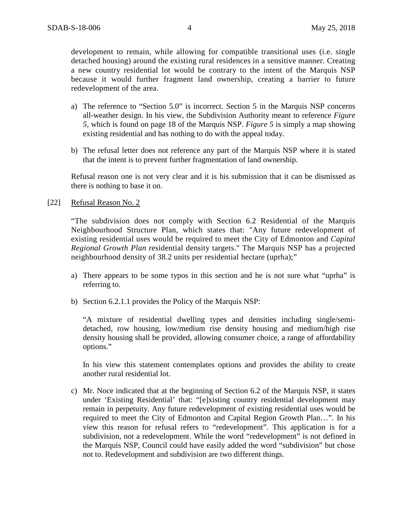development to remain, while allowing for compatible transitional uses (i.e. single detached housing) around the existing rural residences in a sensitive manner. Creating a new country residential lot would be contrary to the intent of the Marquis NSP because it would further fragment land ownership, creating a barrier to future redevelopment of the area.

- a) The reference to "Section 5.0" is incorrect. Section 5 in the Marquis NSP concerns all-weather design. In his view, the Subdivision Authority meant to reference *Figure 5,* which is found on page 18 of the Marquis NSP. *Figure 5* is simply a map showing existing residential and has nothing to do with the appeal today.
- b) The refusal letter does not reference any part of the Marquis NSP where it is stated that the intent is to prevent further fragmentation of land ownership.

Refusal reason one is not very clear and it is his submission that it can be dismissed as there is nothing to base it on.

[22] Refusal Reason No. 2

"The subdivision does not comply with Section 6.2 Residential of the Marquis Neighbourhood Structure Plan, which states that: "Any future redevelopment of existing residential uses would be required to meet the City of Edmonton and *Capital Regional Growth Plan* residential density targets." The Marquis NSP has a projected neighbourhood density of 38.2 units per residential hectare (uprha);"

- a) There appears to be some typos in this section and he is not sure what "uprha" is referring to.
- b) Section 6.2.1.1 provides the Policy of the Marquis NSP:

"A mixture of residential dwelling types and densities including single/semidetached, row housing, low/medium rise density housing and medium/high rise density housing shall be provided, allowing consumer choice, a range of affordability options."

In his view this statement contemplates options and provides the ability to create another rural residential lot.

c) Mr. Noce indicated that at the beginning of Section 6.2 of the Marquis NSP, it states under 'Existing Residential' that: "[e]xisting country residential development may remain in perpetuity. Any future redevelopment of existing residential uses would be required to meet the City of Edmonton and Capital Region Growth Plan…". In his view this reason for refusal refers to "redevelopment". This application is for a subdivision, not a redevelopment. While the word "redevelopment" is not defined in the Marquis NSP, Council could have easily added the word "subdivision" but chose not to. Redevelopment and subdivision are two different things.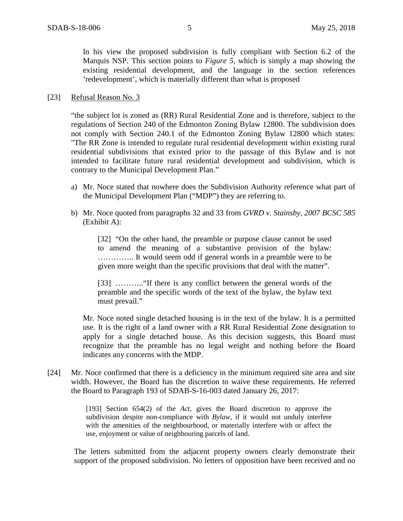In his view the proposed subdivision is fully compliant with Section 6.2 of the Marquis NSP. This section points to *Figure 5*, which is simply a map showing the existing residential development, and the language in the section references 'redevelopment', which is materially different than what is proposed

#### [23] Refusal Reason No. 3

"the subject lot is zoned as (RR) Rural Residential Zone and is therefore, subject to the regulations of Section 240 of the Edmonton Zoning Bylaw 12800. The subdivision does not comply with Section 240.1 of the Edmonton Zoning Bylaw 12800 which states: "The RR Zone is intended to regulate rural residential development within existing rural residential subdivisions that existed prior to the passage of this Bylaw and is not intended to facilitate future rural residential development and subdivision, which is contrary to the Municipal Development Plan."

- a) Mr. Noce stated that nowhere does the Subdivision Authority reference what part of the Municipal Development Plan ("MDP") they are referring to.
- b) Mr. Noce quoted from paragraphs 32 and 33 from *GVRD v. Stainsby, 2007 BCSC 585*  (Exhibit A):

[32] "On the other hand, the preamble or purpose clause cannot be used to amend the meaning of a substantive provision of the bylaw: ………….. It would seem odd if general words in a preamble were to be given more weight than the specific provisions that deal with the matter".

[33] ……….."If there is any conflict between the general words of the preamble and the specific words of the text of the bylaw, the bylaw text must prevail."

Mr. Noce noted single detached housing is in the text of the bylaw. It is a permitted use. It is the right of a land owner with a RR Rural Residential Zone designation to apply for a single detached house. As this decision suggests, this Board must recognize that the preamble has no legal weight and nothing before the Board indicates any concerns with the MDP.

[24] Mr. Noce confirmed that there is a deficiency in the minimum required site area and site width. However, the Board has the discretion to waive these requirements. He referred the Board to Paragraph 193 of SDAB-S-16-003 dated January 26, 2017:

> [193] Section 654(2) of the *Act*, gives the Board discretion to approve the subdivision despite non-compliance with *Bylaw,* if it would not unduly interfere with the amenities of the neighbourhood, or materially interfere with or affect the use, enjoyment or value of neighbouring parcels of land.

The letters submitted from the adjacent property owners clearly demonstrate their support of the proposed subdivision. No letters of opposition have been received and no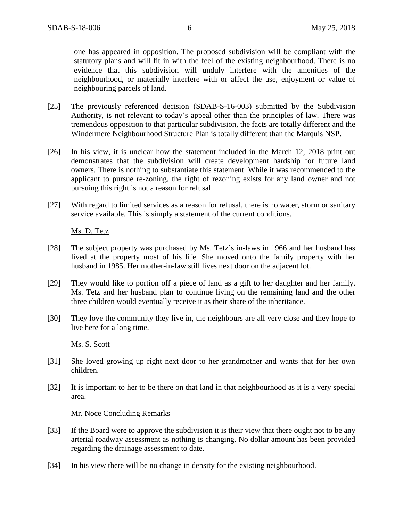one has appeared in opposition. The proposed subdivision will be compliant with the statutory plans and will fit in with the feel of the existing neighbourhood. There is no evidence that this subdivision will unduly interfere with the amenities of the neighbourhood, or materially interfere with or affect the use, enjoyment or value of neighbouring parcels of land.

- [25] The previously referenced decision (SDAB-S-16-003) submitted by the Subdivision Authority, is not relevant to today's appeal other than the principles of law. There was tremendous opposition to that particular subdivision, the facts are totally different and the Windermere Neighbourhood Structure Plan is totally different than the Marquis NSP.
- [26] In his view, it is unclear how the statement included in the March 12, 2018 print out demonstrates that the subdivision will create development hardship for future land owners. There is nothing to substantiate this statement. While it was recommended to the applicant to pursue re-zoning, the right of rezoning exists for any land owner and not pursuing this right is not a reason for refusal.
- [27] With regard to limited services as a reason for refusal, there is no water, storm or sanitary service available. This is simply a statement of the current conditions.

## Ms. D. Tetz

- [28] The subject property was purchased by Ms. Tetz's in-laws in 1966 and her husband has lived at the property most of his life. She moved onto the family property with her husband in 1985. Her mother-in-law still lives next door on the adjacent lot.
- [29] They would like to portion off a piece of land as a gift to her daughter and her family. Ms. Tetz and her husband plan to continue living on the remaining land and the other three children would eventually receive it as their share of the inheritance.
- [30] They love the community they live in, the neighbours are all very close and they hope to live here for a long time.

Ms. S. Scott

- [31] She loved growing up right next door to her grandmother and wants that for her own children.
- [32] It is important to her to be there on that land in that neighbourhood as it is a very special area.

#### Mr. Noce Concluding Remarks

- [33] If the Board were to approve the subdivision it is their view that there ought not to be any arterial roadway assessment as nothing is changing. No dollar amount has been provided regarding the drainage assessment to date.
- [34] In his view there will be no change in density for the existing neighbourhood.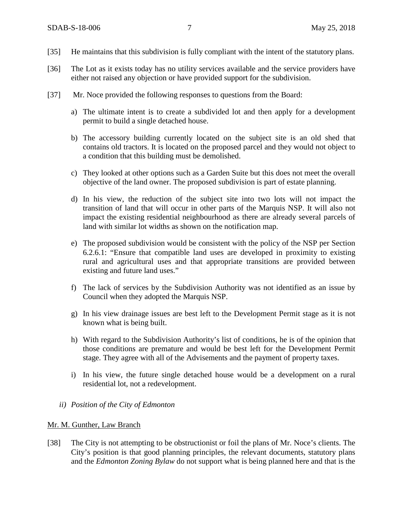- [35] He maintains that this subdivision is fully compliant with the intent of the statutory plans.
- [36] The Lot as it exists today has no utility services available and the service providers have either not raised any objection or have provided support for the subdivision.
- [37] Mr. Noce provided the following responses to questions from the Board:
	- a) The ultimate intent is to create a subdivided lot and then apply for a development permit to build a single detached house.
	- b) The accessory building currently located on the subject site is an old shed that contains old tractors. It is located on the proposed parcel and they would not object to a condition that this building must be demolished.
	- c) They looked at other options such as a Garden Suite but this does not meet the overall objective of the land owner. The proposed subdivision is part of estate planning.
	- d) In his view, the reduction of the subject site into two lots will not impact the transition of land that will occur in other parts of the Marquis NSP. It will also not impact the existing residential neighbourhood as there are already several parcels of land with similar lot widths as shown on the notification map.
	- e) The proposed subdivision would be consistent with the policy of the NSP per Section 6.2.6.1: "Ensure that compatible land uses are developed in proximity to existing rural and agricultural uses and that appropriate transitions are provided between existing and future land uses."
	- f) The lack of services by the Subdivision Authority was not identified as an issue by Council when they adopted the Marquis NSP.
	- g) In his view drainage issues are best left to the Development Permit stage as it is not known what is being built.
	- h) With regard to the Subdivision Authority's list of conditions, he is of the opinion that those conditions are premature and would be best left for the Development Permit stage. They agree with all of the Advisements and the payment of property taxes.
	- i) In his view, the future single detached house would be a development on a rural residential lot, not a redevelopment.
	- *ii) Position of the City of Edmonton*

#### Mr. M. Gunther, Law Branch

[38] The City is not attempting to be obstructionist or foil the plans of Mr. Noce's clients. The City's position is that good planning principles, the relevant documents, statutory plans and the *Edmonton Zoning Bylaw* do not support what is being planned here and that is the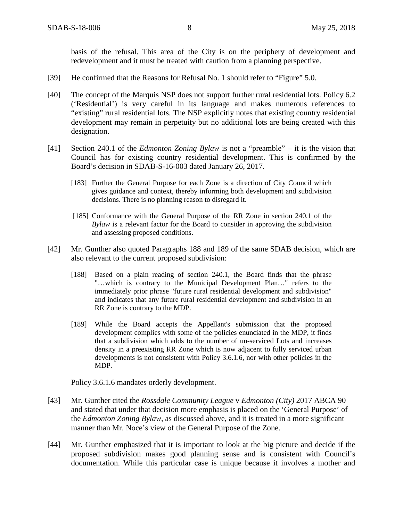basis of the refusal. This area of the City is on the periphery of development and redevelopment and it must be treated with caution from a planning perspective.

- [39] He confirmed that the Reasons for Refusal No. 1 should refer to "Figure" 5.0.
- [40] The concept of the Marquis NSP does not support further rural residential lots. Policy 6.2 ('Residential') is very careful in its language and makes numerous references to "existing" rural residential lots. The NSP explicitly notes that existing country residential development may remain in perpetuity but no additional lots are being created with this designation.
- [41] Section 240.1 of the *Edmonton Zoning Bylaw* is not a "preamble" it is the vision that Council has for existing country residential development. This is confirmed by the Board's decision in SDAB-S-16-003 dated January 26, 2017.
	- [183] Further the General Purpose for each Zone is a direction of City Council which gives guidance and context, thereby informing both development and subdivision decisions. There is no planning reason to disregard it.
	- [185] Conformance with the General Purpose of the RR Zone in section 240.1 of the *Bylaw* is a relevant factor for the Board to consider in approving the subdivision and assessing proposed conditions.
- [42] Mr. Gunther also quoted Paragraphs 188 and 189 of the same SDAB decision, which are also relevant to the current proposed subdivision:
	- [188] Based on a plain reading of section 240.1, the Board finds that the phrase "…which is contrary to the Municipal Development Plan…" refers to the immediately prior phrase "future rural residential development and subdivision" and indicates that any future rural residential development and subdivision in an RR Zone is contrary to the MDP.
	- [189] While the Board accepts the Appellant's submission that the proposed development complies with some of the policies enunciated in the MDP, it finds that a subdivision which adds to the number of un-serviced Lots and increases density in a preexisting RR Zone which is now adjacent to fully serviced urban developments is not consistent with Policy 3.6.1.6, nor with other policies in the MDP.

Policy 3.6.1.6 mandates orderly development.

- [43] Mr. Gunther cited the *Rossdale Community League* v *Edmonton (City)* 2017 ABCA 90 and stated that under that decision more emphasis is placed on the 'General Purpose' of the *Edmonton Zoning Bylaw*, as discussed above, and it is treated in a more significant manner than Mr. Noce's view of the General Purpose of the Zone.
- [44] Mr. Gunther emphasized that it is important to look at the big picture and decide if the proposed subdivision makes good planning sense and is consistent with Council's documentation. While this particular case is unique because it involves a mother and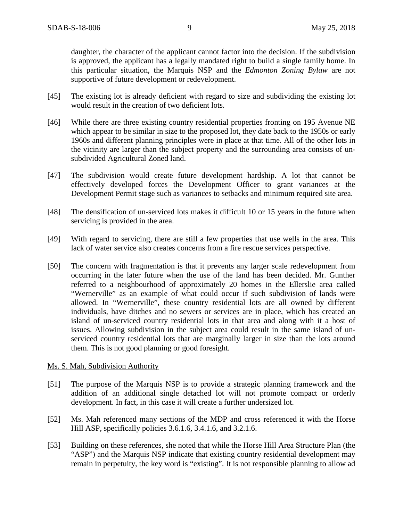daughter, the character of the applicant cannot factor into the decision. If the subdivision is approved, the applicant has a legally mandated right to build a single family home. In this particular situation, the Marquis NSP and the *Edmonton Zoning Bylaw* are not supportive of future development or redevelopment.

- [45] The existing lot is already deficient with regard to size and subdividing the existing lot would result in the creation of two deficient lots.
- [46] While there are three existing country residential properties fronting on 195 Avenue NE which appear to be similar in size to the proposed lot, they date back to the 1950s or early 1960s and different planning principles were in place at that time. All of the other lots in the vicinity are larger than the subject property and the surrounding area consists of unsubdivided Agricultural Zoned land.
- [47] The subdivision would create future development hardship. A lot that cannot be effectively developed forces the Development Officer to grant variances at the Development Permit stage such as variances to setbacks and minimum required site area.
- [48] The densification of un-serviced lots makes it difficult 10 or 15 years in the future when servicing is provided in the area.
- [49] With regard to servicing, there are still a few properties that use wells in the area. This lack of water service also creates concerns from a fire rescue services perspective.
- [50] The concern with fragmentation is that it prevents any larger scale redevelopment from occurring in the later future when the use of the land has been decided. Mr. Gunther referred to a neighbourhood of approximately 20 homes in the Ellerslie area called "Wernerville" as an example of what could occur if such subdivision of lands were allowed. In "Wernerville", these country residential lots are all owned by different individuals, have ditches and no sewers or services are in place, which has created an island of un-serviced country residential lots in that area and along with it a host of issues. Allowing subdivision in the subject area could result in the same island of unserviced country residential lots that are marginally larger in size than the lots around them. This is not good planning or good foresight.

## Ms. S. Mah, Subdivision Authority

- [51] The purpose of the Marquis NSP is to provide a strategic planning framework and the addition of an additional single detached lot will not promote compact or orderly development. In fact, in this case it will create a further undersized lot.
- [52] Ms. Mah referenced many sections of the MDP and cross referenced it with the Horse Hill ASP, specifically policies 3.6.1.6, 3.4.1.6, and 3.2.1.6.
- [53] Building on these references, she noted that while the Horse Hill Area Structure Plan (the "ASP") and the Marquis NSP indicate that existing country residential development may remain in perpetuity, the key word is "existing". It is not responsible planning to allow ad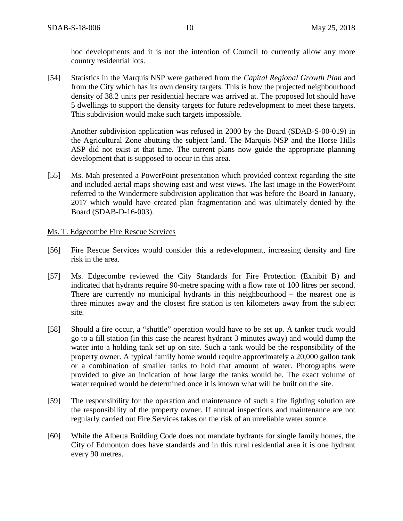hoc developments and it is not the intention of Council to currently allow any more country residential lots.

[54] Statistics in the Marquis NSP were gathered from the *Capital Regional Growth Plan* and from the City which has its own density targets. This is how the projected neighbourhood density of 38.2 units per residential hectare was arrived at. The proposed lot should have 5 dwellings to support the density targets for future redevelopment to meet these targets. This subdivision would make such targets impossible.

Another subdivision application was refused in 2000 by the Board (SDAB-S-00-019) in the Agricultural Zone abutting the subject land. The Marquis NSP and the Horse Hills ASP did not exist at that time. The current plans now guide the appropriate planning development that is supposed to occur in this area.

[55] Ms. Mah presented a PowerPoint presentation which provided context regarding the site and included aerial maps showing east and west views. The last image in the PowerPoint referred to the Windermere subdivision application that was before the Board in January, 2017 which would have created plan fragmentation and was ultimately denied by the Board (SDAB-D-16-003).

### Ms. T. Edgecombe Fire Rescue Services

- [56] Fire Rescue Services would consider this a redevelopment, increasing density and fire risk in the area.
- [57] Ms. Edgecombe reviewed the City Standards for Fire Protection (Exhibit B) and indicated that hydrants require 90-metre spacing with a flow rate of 100 litres per second. There are currently no municipal hydrants in this neighbourhood – the nearest one is three minutes away and the closest fire station is ten kilometers away from the subject site.
- [58] Should a fire occur, a "shuttle" operation would have to be set up. A tanker truck would go to a fill station (in this case the nearest hydrant 3 minutes away) and would dump the water into a holding tank set up on site. Such a tank would be the responsibility of the property owner. A typical family home would require approximately a 20,000 gallon tank or a combination of smaller tanks to hold that amount of water. Photographs were provided to give an indication of how large the tanks would be. The exact volume of water required would be determined once it is known what will be built on the site.
- [59] The responsibility for the operation and maintenance of such a fire fighting solution are the responsibility of the property owner. If annual inspections and maintenance are not regularly carried out Fire Services takes on the risk of an unreliable water source.
- [60] While the Alberta Building Code does not mandate hydrants for single family homes, the City of Edmonton does have standards and in this rural residential area it is one hydrant every 90 metres.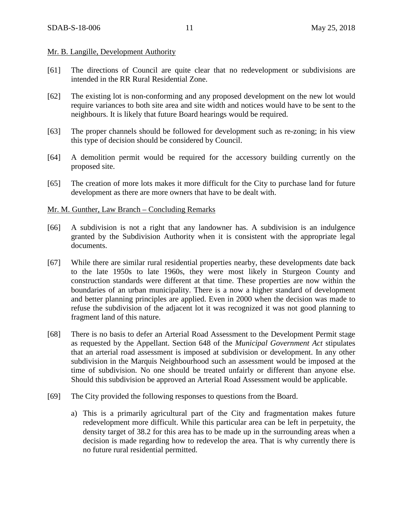### Mr. B. Langille, Development Authority

- [61] The directions of Council are quite clear that no redevelopment or subdivisions are intended in the RR Rural Residential Zone.
- [62] The existing lot is non-conforming and any proposed development on the new lot would require variances to both site area and site width and notices would have to be sent to the neighbours. It is likely that future Board hearings would be required.
- [63] The proper channels should be followed for development such as re-zoning; in his view this type of decision should be considered by Council.
- [64] A demolition permit would be required for the accessory building currently on the proposed site.
- [65] The creation of more lots makes it more difficult for the City to purchase land for future development as there are more owners that have to be dealt with.

### Mr. M. Gunther, Law Branch – Concluding Remarks

- [66] A subdivision is not a right that any landowner has. A subdivision is an indulgence granted by the Subdivision Authority when it is consistent with the appropriate legal documents.
- [67] While there are similar rural residential properties nearby, these developments date back to the late 1950s to late 1960s, they were most likely in Sturgeon County and construction standards were different at that time. These properties are now within the boundaries of an urban municipality. There is a now a higher standard of development and better planning principles are applied. Even in 2000 when the decision was made to refuse the subdivision of the adjacent lot it was recognized it was not good planning to fragment land of this nature.
- [68] There is no basis to defer an Arterial Road Assessment to the Development Permit stage as requested by the Appellant. Section 648 of the *Municipal Government Act* stipulates that an arterial road assessment is imposed at subdivision or development. In any other subdivision in the Marquis Neighbourhood such an assessment would be imposed at the time of subdivision. No one should be treated unfairly or different than anyone else. Should this subdivision be approved an Arterial Road Assessment would be applicable.
- [69] The City provided the following responses to questions from the Board.
	- a) This is a primarily agricultural part of the City and fragmentation makes future redevelopment more difficult. While this particular area can be left in perpetuity, the density target of 38.2 for this area has to be made up in the surrounding areas when a decision is made regarding how to redevelop the area. That is why currently there is no future rural residential permitted.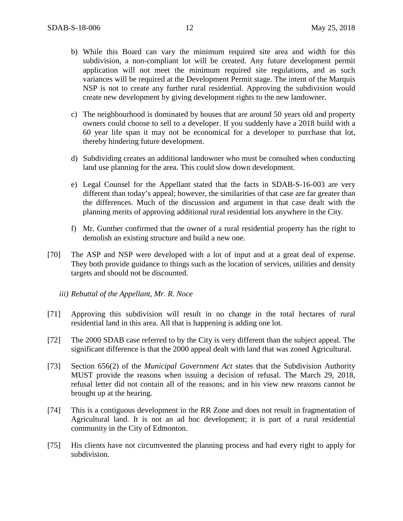- b) While this Board can vary the minimum required site area and width for this subdivision, a non-compliant lot will be created. Any future development permit application will not meet the minimum required site regulations, and as such variances will be required at the Development Permit stage. The intent of the Marquis NSP is not to create any further rural residential. Approving the subdivision would create new development by giving development rights to the new landowner.
- c) The neighbourhood is dominated by houses that are around 50 years old and property owners could choose to sell to a developer. If you suddenly have a 2018 build with a 60 year life span it may not be economical for a developer to purchase that lot, thereby hindering future development.
- d) Subdividing creates an additional landowner who must be consulted when conducting land use planning for the area. This could slow down development.
- e) Legal Counsel for the Appellant stated that the facts in SDAB-S-16-003 are very different than today's appeal; however, the similarities of that case are far greater than the differences. Much of the discussion and argument in that case dealt with the planning merits of approving additional rural residential lots anywhere in the City.
- f) Mr. Gunther confirmed that the owner of a rural residential property has the right to demolish an existing structure and build a new one.
- [70] The ASP and NSP were developed with a lot of input and at a great deal of expense. They both provide guidance to things such as the location of services, utilities and density targets and should not be discounted.
	- *iii) Rebuttal of the Appellant, Mr. R. Noce*
- [71] Approving this subdivision will result in no change in the total hectares of rural residential land in this area. All that is happening is adding one lot.
- [72] The 2000 SDAB case referred to by the City is very different than the subject appeal. The significant difference is that the 2000 appeal dealt with land that was zoned Agricultural.
- [73] Section 656(2) of the *Municipal Government Act* states that the Subdivision Authority MUST provide the reasons when issuing a decision of refusal. The March 29, 2018, refusal letter did not contain all of the reasons; and in his view new reasons cannot be brought up at the hearing.
- [74] This is a contiguous development in the RR Zone and does not result in fragmentation of Agricultural land. It is not an ad hoc development; it is part of a rural residential community in the City of Edmonton.
- [75] His clients have not circumvented the planning process and had every right to apply for subdivision.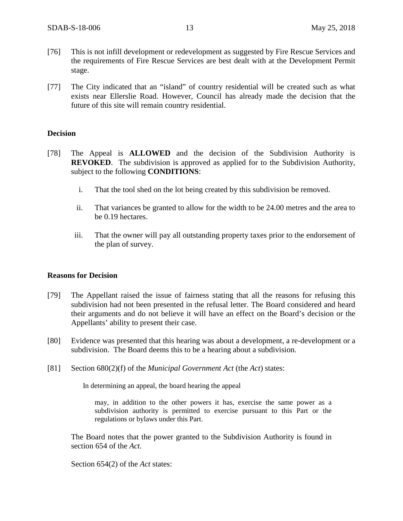- [76] This is not infill development or redevelopment as suggested by Fire Rescue Services and the requirements of Fire Rescue Services are best dealt with at the Development Permit stage.
- [77] The City indicated that an "island" of country residential will be created such as what exists near Ellerslie Road. However, Council has already made the decision that the future of this site will remain country residential.

### **Decision**

- [78] The Appeal is **ALLOWED** and the decision of the Subdivision Authority is **REVOKED**. The subdivision is approved as applied for to the Subdivision Authority, subject to the following **CONDITIONS**:
	- i. That the tool shed on the lot being created by this subdivision be removed.
	- ii. That variances be granted to allow for the width to be 24.00 metres and the area to be 0.19 hectares.
	- iii. That the owner will pay all outstanding property taxes prior to the endorsement of the plan of survey.

#### **Reasons for Decision**

- [79] The Appellant raised the issue of fairness stating that all the reasons for refusing this subdivision had not been presented in the refusal letter. The Board considered and heard their arguments and do not believe it will have an effect on the Board's decision or the Appellants' ability to present their case.
- [80] Evidence was presented that this hearing was about a development, a re-development or a subdivision. The Board deems this to be a hearing about a subdivision.
- [81] Section 680(2)(f) of the *Municipal Government Act* (the *Act*) states:

In determining an appeal, the board hearing the appeal

may, in addition to the other powers it has, exercise the same power as a subdivision authority is permitted to exercise pursuant to this Part or the regulations or bylaws under this Part.

The Board notes that the power granted to the Subdivision Authority is found in section 654 of the *Act.*

Section 654(2) of the *Act* states: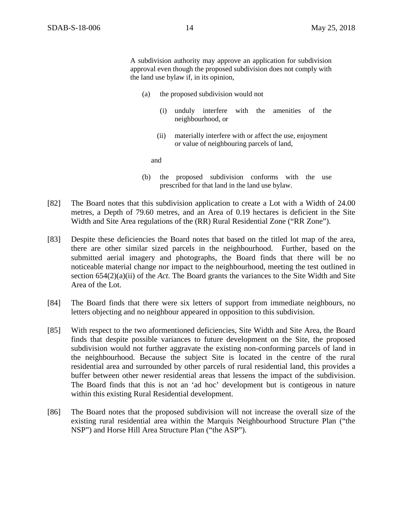A subdivision authority may approve an application for subdivision approval even though the proposed subdivision does not comply with the land use bylaw if, in its opinion,

- (a) the proposed subdivision would not
	- (i) unduly interfere with the amenities of the neighbourhood, or
	- (ii) materially interfere with or affect the use, enjoyment or value of neighbouring parcels of land,

and

- (b) the proposed subdivision conforms with the use prescribed for that land in the land use bylaw.
- [82] The Board notes that this subdivision application to create a Lot with a Width of 24.00 metres, a Depth of 79.60 metres, and an Area of 0.19 hectares is deficient in the Site Width and Site Area regulations of the (RR) Rural Residential Zone ("RR Zone").
- [83] Despite these deficiencies the Board notes that based on the titled lot map of the area, there are other similar sized parcels in the neighbourhood. Further, based on the submitted aerial imagery and photographs, the Board finds that there will be no noticeable material change nor impact to the neighbourhood, meeting the test outlined in section 654(2)(a)(ii) of the *Act*. The Board grants the variances to the Site Width and Site Area of the Lot.
- [84] The Board finds that there were six letters of support from immediate neighbours, no letters objecting and no neighbour appeared in opposition to this subdivision.
- [85] With respect to the two aformentioned deficiencies, Site Width and Site Area, the Board finds that despite possible variances to future development on the Site, the proposed subdivision would not further aggravate the existing non-conforming parcels of land in the neighbourhood. Because the subject Site is located in the centre of the rural residential area and surrounded by other parcels of rural residential land, this provides a buffer between other newer residential areas that lessens the impact of the subdivision. The Board finds that this is not an 'ad hoc' development but is contigeous in nature within this existing Rural Residential development.
- [86] The Board notes that the proposed subdivision will not increase the overall size of the existing rural residential area within the Marquis Neighbourhood Structure Plan ("the NSP") and Horse Hill Area Structure Plan ("the ASP").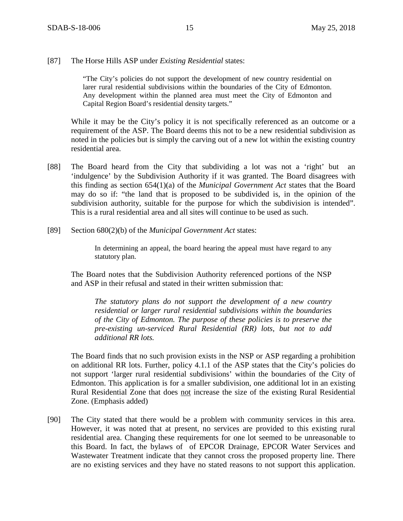### [87] The Horse Hills ASP under *Existing Residential* states:

"The City's policies do not support the development of new country residential on larer rural residential subdivisions within the boundaries of the City of Edmonton. Any development within the planned area must meet the City of Edmonton and Capital Region Board's residential density targets."

While it may be the City's policy it is not specifically referenced as an outcome or a requirement of the ASP. The Board deems this not to be a new residential subdivision as noted in the policies but is simply the carving out of a new lot within the existing country residential area.

- [88] The Board heard from the City that subdividing a lot was not a 'right' but an 'indulgence' by the Subdivision Authority if it was granted. The Board disagrees with this finding as section 654(1)(a) of the *Municipal Government Act* states that the Board may do so if: "the land that is proposed to be subdivided is, in the opinion of the subdivision authority, suitable for the purpose for which the subdivision is intended". This is a rural residential area and all sites will continue to be used as such.
- [89] Section 680(2)(b) of the *Municipal Government Act* states:

In determining an appeal, the board hearing the appeal must have regard to any statutory plan.

The Board notes that the Subdivision Authority referenced portions of the NSP and ASP in their refusal and stated in their written submission that:

*The statutory plans do not support the development of a new country residential or larger rural residential subdivisions within the boundaries of the City of Edmonton. The purpose of these policies is to preserve the pre-existing un-serviced Rural Residential (RR) lots, but not to add additional RR lots.* 

The Board finds that no such provision exists in the NSP or ASP regarding a prohibition on additional RR lots. Further, policy 4.1.1 of the ASP states that the City's policies do not support 'larger rural residential subdivisions' within the boundaries of the City of Edmonton. This application is for a smaller subdivision, one additional lot in an existing Rural Residential Zone that does not increase the size of the existing Rural Residential Zone. (Emphasis added)

[90] The City stated that there would be a problem with community services in this area. However, it was noted that at present, no services are provided to this existing rural residential area. Changing these requirements for one lot seemed to be unreasonable to this Board. In fact, the bylaws of of EPCOR Drainage, EPCOR Water Services and Wastewater Treatment indicate that they cannot cross the proposed property line. There are no existing services and they have no stated reasons to not support this application.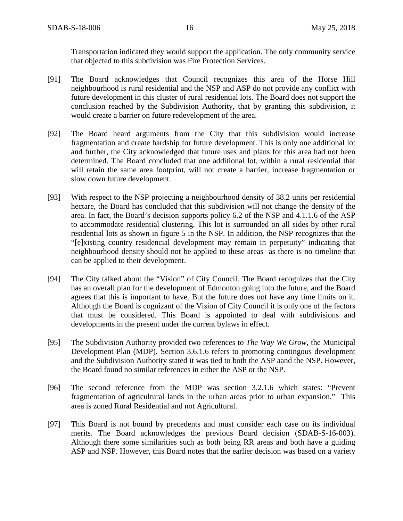Transportation indicated they would support the application. The only community service that objected to this subdivision was Fire Protection Services.

- [91] The Board acknowledges that Council recognizes this area of the Horse Hill neighbourhood is rural residential and the NSP and ASP do not provide any conflict with future development in this cluster of rural residential lots. The Board does not support the conclusion reached by the Subdivision Authority, that by granting this subdivision, it would create a barrier on future redevelopment of the area.
- [92] The Board heard arguments from the City that this subdivision would increase fragmentation and create hardship for future development. This is only one additional lot and further, the City acknowledged that future uses and plans for this area had not been determined. The Board concluded that one additional lot, within a rural residential that will retain the same area footprint, will not create a barrier, increase fragmentation or slow down future development.
- [93] With respect to the NSP projecting a neighbourhood density of 38.2 units per residential hectare, the Board has concluded that this subdivision will not change the density of the area. In fact, the Board's decision supports policy 6.2 of the NSP and 4.1.1.6 of the ASP to accommodate residential clustering. This lot is surrounded on all sides by other rural residential lots as shown in figure 5 in the NSP. In addition, the NSP recognizes that the "[e]xisting country residencial development may remain in perpetuity" indicating that neighbourhood density should not be applied to these areas as there is no timeline that can be applied to their development.
- [94] The City talked about the "Vision" of City Council. The Board recognizes that the City has an overall plan for the development of Edmonton going into the future, and the Board agrees that this is important to have. But the future does not have any time limits on it. Although the Board is cognizant of the Vision of City Council it is only one of the factors that must be considered. This Board is appointed to deal with subdivisions and developments in the present under the current bylaws in effect.
- [95] The Subdivision Authority provided two references to *The Way We Grow*, the Municipal Development Plan (MDP). Section 3.6.1.6 refers to promoting contingous development and the Subdivision Authority stated it was tied to both the ASP aand the NSP. However, the Board found no similar references in either the ASP or the NSP.
- [96] The second reference from the MDP was section 3.2.1.6 which states: "Prevent fragmentation of agricultural lands in the urban areas prior to urban expansion." This area is zoned Rural Residential and not Agricultural.
- [97] This Board is not bound by precedents and must consider each case on its individual merits. The Board acknowledges the previous Board decision (SDAB-S-16-003). Although there some similarities such as both being RR areas and both have a guiding ASP and NSP. However, this Board notes that the earlier decision was based on a variety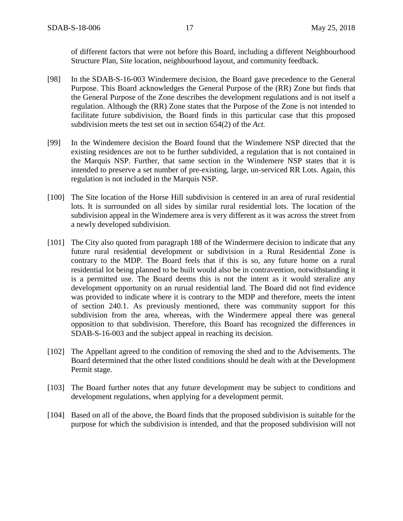of different factors that were not before this Board, including a different Neighbourhood Structure Plan, Site location, neighbourhood layout, and community feedback.

- [98] In the SDAB-S-16-003 Windermere decision, the Board gave precedence to the General Purpose. This Board acknowledges the General Purpose of the (RR) Zone but finds that the General Purpose of the Zone describes the development regulations and is not itself a regulation. Although the (RR) Zone states that the Purpose of the Zone is not intended to facilitate future subdivision, the Board finds in this particular case that this proposed subdivision meets the test set out in section 654(2) of the *Act.*
- [99] In the Windemere decision the Board found that the Windemere NSP directed that the existing residences are not to be further subdivided, a regulation that is not contained in the Marquis NSP. Further, that same section in the Windemere NSP states that it is intended to preserve a set number of pre-existing, large, un-serviced RR Lots. Again, this regulation is not included in the Marquis NSP.
- [100] The Site location of the Horse Hill subdivision is centered in an area of rural residential lots. It is surrounded on all sides by similar rural residential lots. The location of the subdivision appeal in the Windemere area is very different as it was across the street from a newly developed subdivision.
- [101] The City also quoted from paragraph 188 of the Windermere decision to indicate that any future rural residential development or subdivision in a Rural Residential Zone is contrary to the MDP. The Board feels that if this is so, any future home on a rural residential lot being planned to be built would also be in contravention, notwithstanding it is a permitted use. The Board deems this is not the intent as it would steralize any development opportunity on an rurual residential land. The Board did not find evidence was provided to indicate where it is contrary to the MDP and therefore, meets the intent of section 240.1. As previously mentioned, there was community support for this subdivision from the area, whereas, with the Windermere appeal there was general opposition to that subdivision. Therefore, this Board has recognized the differences in SDAB-S-16-003 and the subject appeal in reaching its decision.
- [102] The Appellant agreed to the condition of removing the shed and to the Advisements. The Board determined that the other listed conditions should be dealt with at the Development Permit stage.
- [103] The Board further notes that any future development may be subject to conditions and development regulations, when applying for a development permit.
- [104] Based on all of the above, the Board finds that the proposed subdivision is suitable for the purpose for which the subdivision is intended, and that the proposed subdivision will not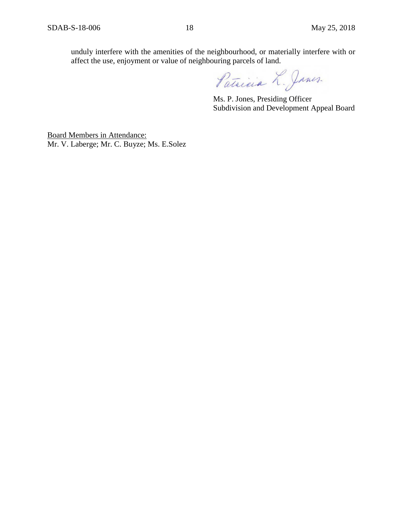unduly interfere with the amenities of the neighbourhood, or materially interfere with or affect the use, enjoyment or value of neighbouring parcels of land.

Patricia L. Janes.

Ms. P. Jones, Presiding Officer Subdivision and Development Appeal Board

Board Members in Attendance: Mr. V. Laberge; Mr. C. Buyze; Ms. E.Solez